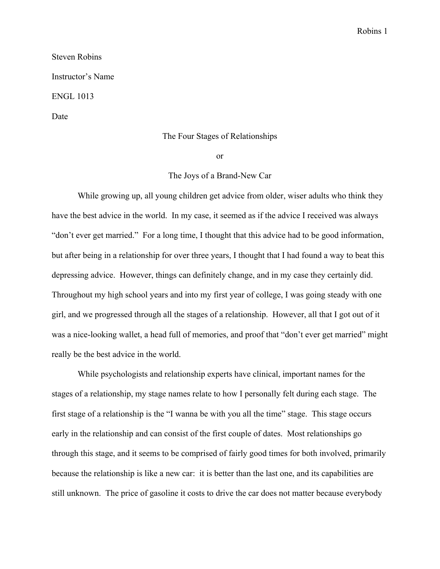## Robins 1

## Steven Robins Instructor's Name ENGL 1013 Date

## The Four Stages of Relationships

or

## The Joys of a Brand-New Car

While growing up, all young children get advice from older, wiser adults who think they have the best advice in the world. In my case, it seemed as if the advice I received was always "don't ever get married." For a long time, I thought that this advice had to be good information, but after being in a relationship for over three years, I thought that I had found a way to beat this depressing advice. However, things can definitely change, and in my case they certainly did. Throughout my high school years and into my first year of college, I was going steady with one girl, and we progressed through all the stages of a relationship. However, all that I got out of it was a nice-looking wallet, a head full of memories, and proof that "don't ever get married" might really be the best advice in the world.

While psychologists and relationship experts have clinical, important names for the stages of a relationship, my stage names relate to how I personally felt during each stage. The first stage of a relationship is the "I wanna be with you all the time" stage. This stage occurs early in the relationship and can consist of the first couple of dates. Most relationships go through this stage, and it seems to be comprised of fairly good times for both involved, primarily because the relationship is like a new car: it is better than the last one, and its capabilities are still unknown. The price of gasoline it costs to drive the car does not matter because everybody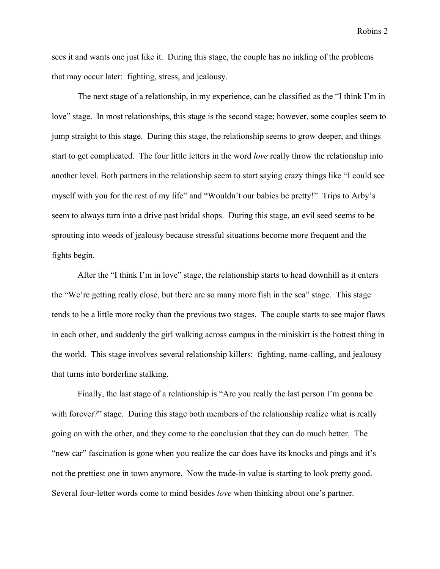Robins 2

sees it and wants one just like it. During this stage, the couple has no inkling of the problems that may occur later: fighting, stress, and jealousy.

The next stage of a relationship, in my experience, can be classified as the "I think I'm in love" stage. In most relationships, this stage is the second stage; however, some couples seem to jump straight to this stage. During this stage, the relationship seems to grow deeper, and things start to get complicated. The four little letters in the word *love* really throw the relationship into another level. Both partners in the relationship seem to start saying crazy things like "I could see myself with you for the rest of my life" and "Wouldn't our babies be pretty!" Trips to Arby's seem to always turn into a drive past bridal shops. During this stage, an evil seed seems to be sprouting into weeds of jealousy because stressful situations become more frequent and the fights begin.

After the "I think I'm in love" stage, the relationship starts to head downhill as it enters the "We're getting really close, but there are so many more fish in the sea" stage. This stage tends to be a little more rocky than the previous two stages. The couple starts to see major flaws in each other, and suddenly the girl walking across campus in the miniskirt is the hottest thing in the world. This stage involves several relationship killers: fighting, name-calling, and jealousy that turns into borderline stalking.

Finally, the last stage of a relationship is "Are you really the last person I'm gonna be with forever?" stage. During this stage both members of the relationship realize what is really going on with the other, and they come to the conclusion that they can do much better. The "new car" fascination is gone when you realize the car does have its knocks and pings and it's not the prettiest one in town anymore. Now the trade-in value is starting to look pretty good. Several four-letter words come to mind besides *love* when thinking about one's partner.